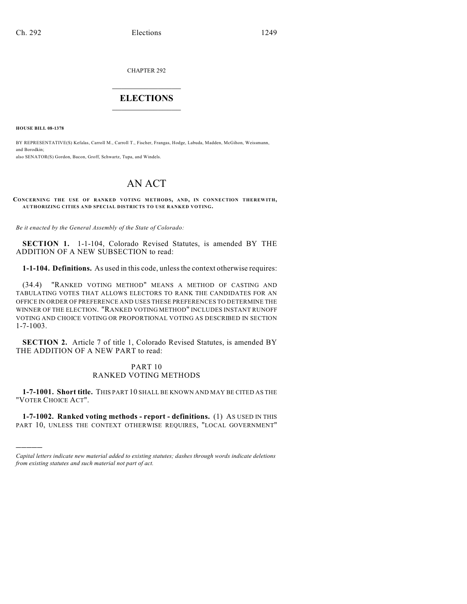CHAPTER 292

# $\overline{\phantom{a}}$  . The set of the set of the set of the set of the set of the set of the set of the set of the set of the set of the set of the set of the set of the set of the set of the set of the set of the set of the set o **ELECTIONS**  $\_$

**HOUSE BILL 08-1378**

)))))

BY REPRESENTATIVE(S) Kefalas, Carroll M., Carroll T., Fischer, Frangas, Hodge, Labuda, Madden, McGihon, Weissmann, and Borodkin; also SENATOR(S) Gordon, Bacon, Groff, Schwartz, Tupa, and Windels.

# AN ACT

**CONCERNING THE USE OF RANKED VOTING METHODS, AND, IN CONNECTION THEREWITH, AUTHORIZING CITIES AND SPECIAL DISTRICTS TO USE RANKED VOTING.**

*Be it enacted by the General Assembly of the State of Colorado:*

**SECTION 1.** 1-1-104, Colorado Revised Statutes, is amended BY THE ADDITION OF A NEW SUBSECTION to read:

**1-1-104. Definitions.** As used in this code, unless the context otherwise requires:

(34.4) "RANKED VOTING METHOD" MEANS A METHOD OF CASTING AND TABULATING VOTES THAT ALLOWS ELECTORS TO RANK THE CANDIDATES FOR AN OFFICE IN ORDER OF PREFERENCE AND USES THESE PREFERENCES TO DETERMINE THE WINNER OF THE ELECTION. "RANKED VOTING METHOD" INCLUDES INSTANT RUNOFF VOTING AND CHOICE VOTING OR PROPORTIONAL VOTING AS DESCRIBED IN SECTION 1-7-1003.

**SECTION 2.** Article 7 of title 1, Colorado Revised Statutes, is amended BY THE ADDITION OF A NEW PART to read:

## PART 10 RANKED VOTING METHODS

**1-7-1001. Short title.** THIS PART 10 SHALL BE KNOWN AND MAY BE CITED AS THE "VOTER CHOICE ACT".

**1-7-1002. Ranked voting methods - report - definitions.** (1) AS USED IN THIS PART 10, UNLESS THE CONTEXT OTHERWISE REQUIRES, "LOCAL GOVERNMENT"

*Capital letters indicate new material added to existing statutes; dashes through words indicate deletions from existing statutes and such material not part of act.*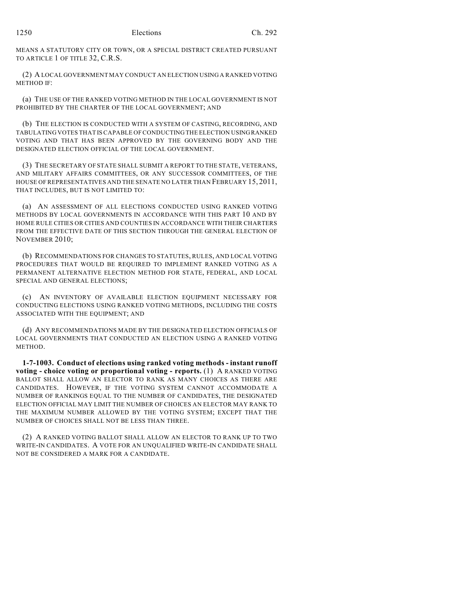MEANS A STATUTORY CITY OR TOWN, OR A SPECIAL DISTRICT CREATED PURSUANT TO ARTICLE 1 OF TITLE 32, C.R.S.

(2) A LOCAL GOVERNMENT MAY CONDUCT AN ELECTION USING A RANKED VOTING METHOD IF:

(a) THE USE OF THE RANKED VOTING METHOD IN THE LOCAL GOVERNMENT IS NOT PROHIBITED BY THE CHARTER OF THE LOCAL GOVERNMENT; AND

(b) THE ELECTION IS CONDUCTED WITH A SYSTEM OF CASTING, RECORDING, AND TABULATING VOTES THAT IS CAPABLE OF CONDUCTING THE ELECTION USING RANKED VOTING AND THAT HAS BEEN APPROVED BY THE GOVERNING BODY AND THE DESIGNATED ELECTION OFFICIAL OF THE LOCAL GOVERNMENT.

(3) THE SECRETARY OF STATE SHALL SUBMIT A REPORT TO THE STATE, VETERANS, AND MILITARY AFFAIRS COMMITTEES, OR ANY SUCCESSOR COMMITTEES, OF THE HOUSE OF REPRESENTATIVES AND THE SENATE NO LATER THAN FEBRUARY 15, 2011, THAT INCLUDES, BUT IS NOT LIMITED TO:

(a) AN ASSESSMENT OF ALL ELECTIONS CONDUCTED USING RANKED VOTING METHODS BY LOCAL GOVERNMENTS IN ACCORDANCE WITH THIS PART 10 AND BY HOME RULE CITIES OR CITIES AND COUNTIES IN ACCORDANCE WITH THEIR CHARTERS FROM THE EFFECTIVE DATE OF THIS SECTION THROUGH THE GENERAL ELECTION OF NOVEMBER 2010;

(b) RECOMMENDATIONS FOR CHANGES TO STATUTES, RULES, AND LOCAL VOTING PROCEDURES THAT WOULD BE REQUIRED TO IMPLEMENT RANKED VOTING AS A PERMANENT ALTERNATIVE ELECTION METHOD FOR STATE, FEDERAL, AND LOCAL SPECIAL AND GENERAL ELECTIONS;

(c) AN INVENTORY OF AVAILABLE ELECTION EQUIPMENT NECESSARY FOR CONDUCTING ELECTIONS USING RANKED VOTING METHODS, INCLUDING THE COSTS ASSOCIATED WITH THE EQUIPMENT; AND

(d) ANY RECOMMENDATIONS MADE BY THE DESIGNATED ELECTION OFFICIALS OF LOCAL GOVERNMENTS THAT CONDUCTED AN ELECTION USING A RANKED VOTING **METHOD.** 

**1-7-1003. Conduct of elections using ranked voting methods - instant runoff voting - choice voting or proportional voting - reports.** (1) A RANKED VOTING BALLOT SHALL ALLOW AN ELECTOR TO RANK AS MANY CHOICES AS THERE ARE CANDIDATES. HOWEVER, IF THE VOTING SYSTEM CANNOT ACCOMMODATE A NUMBER OF RANKINGS EQUAL TO THE NUMBER OF CANDIDATES, THE DESIGNATED ELECTION OFFICIAL MAY LIMIT THE NUMBER OF CHOICES AN ELECTOR MAY RANK TO THE MAXIMUM NUMBER ALLOWED BY THE VOTING SYSTEM; EXCEPT THAT THE NUMBER OF CHOICES SHALL NOT BE LESS THAN THREE.

(2) A RANKED VOTING BALLOT SHALL ALLOW AN ELECTOR TO RANK UP TO TWO WRITE-IN CANDIDATES. A VOTE FOR AN UNQUALIFIED WRITE-IN CANDIDATE SHALL NOT BE CONSIDERED A MARK FOR A CANDIDATE.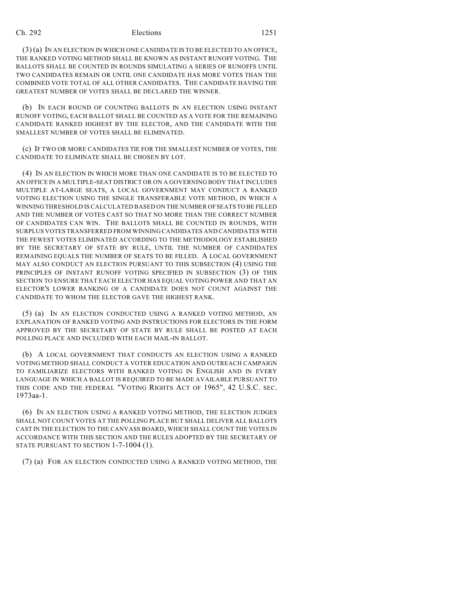### Ch. 292 Elections 1251

(3) (a) IN AN ELECTION IN WHICH ONE CANDIDATE IS TO BE ELECTED TO AN OFFICE, THE RANKED VOTING METHOD SHALL BE KNOWN AS INSTANT RUNOFF VOTING. THE BALLOTS SHALL BE COUNTED IN ROUNDS SIMULATING A SERIES OF RUNOFFS UNTIL TWO CANDIDATES REMAIN OR UNTIL ONE CANDIDATE HAS MORE VOTES THAN THE COMBINED VOTE TOTAL OF ALL OTHER CANDIDATES. THE CANDIDATE HAVING THE GREATEST NUMBER OF VOTES SHALL BE DECLARED THE WINNER.

(b) IN EACH ROUND OF COUNTING BALLOTS IN AN ELECTION USING INSTANT RUNOFF VOTING, EACH BALLOT SHALL BE COUNTED AS A VOTE FOR THE REMAINING CANDIDATE RANKED HIGHEST BY THE ELECTOR, AND THE CANDIDATE WITH THE SMALLEST NUMBER OF VOTES SHALL BE ELIMINATED.

(c) IF TWO OR MORE CANDIDATES TIE FOR THE SMALLEST NUMBER OF VOTES, THE CANDIDATE TO ELIMINATE SHALL BE CHOSEN BY LOT.

(4) IN AN ELECTION IN WHICH MORE THAN ONE CANDIDATE IS TO BE ELECTED TO AN OFFICE IN A MULTIPLE-SEAT DISTRICT OR ON A GOVERNING BODY THAT INCLUDES MULTIPLE AT-LARGE SEATS, A LOCAL GOVERNMENT MAY CONDUCT A RANKED VOTING ELECTION USING THE SINGLE TRANSFERABLE VOTE METHOD, IN WHICH A WINNING THRESHOLD IS CALCULATED BASED ON THE NUMBER OF SEATS TO BE FILLED AND THE NUMBER OF VOTES CAST SO THAT NO MORE THAN THE CORRECT NUMBER OF CANDIDATES CAN WIN. THE BALLOTS SHALL BE COUNTED IN ROUNDS, WITH SURPLUS VOTES TRANSFERRED FROM WINNING CANDIDATES AND CANDIDATES WITH THE FEWEST VOTES ELIMINATED ACCORDING TO THE METHODOLOGY ESTABLISHED BY THE SECRETARY OF STATE BY RULE, UNTIL THE NUMBER OF CANDIDATES REMAINING EQUALS THE NUMBER OF SEATS TO BE FILLED. A LOCAL GOVERNMENT MAY ALSO CONDUCT AN ELECTION PURSUANT TO THIS SUBSECTION (4) USING THE PRINCIPLES OF INSTANT RUNOFF VOTING SPECIFIED IN SUBSECTION (3) OF THIS SECTION TO ENSURE THAT EACH ELECTOR HAS EQUAL VOTING POWER AND THAT AN ELECTOR'S LOWER RANKING OF A CANDIDATE DOES NOT COUNT AGAINST THE CANDIDATE TO WHOM THE ELECTOR GAVE THE HIGHEST RANK.

(5) (a) IN AN ELECTION CONDUCTED USING A RANKED VOTING METHOD, AN EXPLANATION OF RANKED VOTING AND INSTRUCTIONS FOR ELECTORS IN THE FORM APPROVED BY THE SECRETARY OF STATE BY RULE SHALL BE POSTED AT EACH POLLING PLACE AND INCLUDED WITH EACH MAIL-IN BALLOT.

(b) A LOCAL GOVERNMENT THAT CONDUCTS AN ELECTION USING A RANKED VOTING METHOD SHALL CONDUCT A VOTER EDUCATION AND OUTREACH CAMPAIGN TO FAMILIARIZE ELECTORS WITH RANKED VOTING IN ENGLISH AND IN EVERY LANGUAGE IN WHICH A BALLOT IS REQUIRED TO BE MADE AVAILABLE PURSUANT TO THIS CODE AND THE FEDERAL "VOTING RIGHTS ACT OF 1965", 42 U.S.C. SEC. 1973aa-1.

(6) IN AN ELECTION USING A RANKED VOTING METHOD, THE ELECTION JUDGES SHALL NOT COUNT VOTES AT THE POLLING PLACE BUT SHALL DELIVER ALL BALLOTS CAST IN THE ELECTION TO THE CANVASS BOARD, WHICH SHALL COUNT THE VOTES IN ACCORDANCE WITH THIS SECTION AND THE RULES ADOPTED BY THE SECRETARY OF STATE PURSUANT TO SECTION 1-7-1004 (1).

(7) (a) FOR AN ELECTION CONDUCTED USING A RANKED VOTING METHOD, THE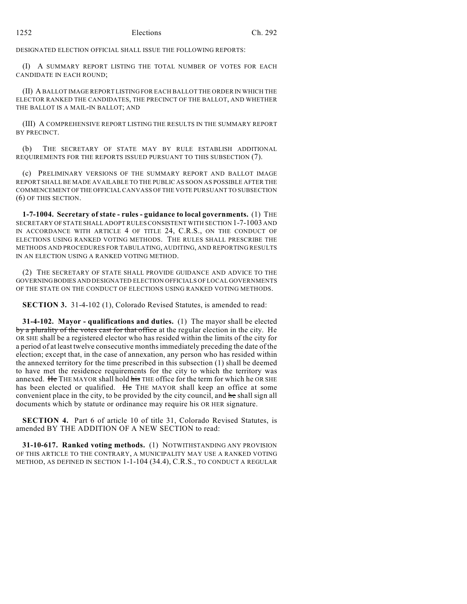DESIGNATED ELECTION OFFICIAL SHALL ISSUE THE FOLLOWING REPORTS:

(I) A SUMMARY REPORT LISTING THE TOTAL NUMBER OF VOTES FOR EACH CANDIDATE IN EACH ROUND;

(II) A BALLOT IMAGE REPORT LISTING FOR EACH BALLOT THE ORDER IN WHICH THE ELECTOR RANKED THE CANDIDATES, THE PRECINCT OF THE BALLOT, AND WHETHER THE BALLOT IS A MAIL-IN BALLOT; AND

(III) A COMPREHENSIVE REPORT LISTING THE RESULTS IN THE SUMMARY REPORT BY PRECINCT.

(b) THE SECRETARY OF STATE MAY BY RULE ESTABLISH ADDITIONAL REQUIREMENTS FOR THE REPORTS ISSUED PURSUANT TO THIS SUBSECTION (7).

(c) PRELIMINARY VERSIONS OF THE SUMMARY REPORT AND BALLOT IMAGE REPORT SHALL BE MADE AVAILABLE TO THE PUBLIC AS SOON AS POSSIBLE AFTER THE COMMENCEMENT OF THE OFFICIAL CANVASS OF THE VOTE PURSUANT TO SUBSECTION (6) OF THIS SECTION.

**1-7-1004. Secretary of state - rules - guidance to local governments.** (1) THE SECRETARY OF STATE SHALL ADOPT RULES CONSISTENT WITH SECTION 1-7-1003 AND IN ACCORDANCE WITH ARTICLE 4 OF TITLE 24, C.R.S., ON THE CONDUCT OF ELECTIONS USING RANKED VOTING METHODS. THE RULES SHALL PRESCRIBE THE METHODS AND PROCEDURES FOR TABULATING, AUDITING, AND REPORTING RESULTS IN AN ELECTION USING A RANKED VOTING METHOD.

(2) THE SECRETARY OF STATE SHALL PROVIDE GUIDANCE AND ADVICE TO THE GOVERNING BODIES AND DESIGNATED ELECTION OFFICIALS OF LOCAL GOVERNMENTS OF THE STATE ON THE CONDUCT OF ELECTIONS USING RANKED VOTING METHODS.

**SECTION 3.** 31-4-102 (1), Colorado Revised Statutes, is amended to read:

**31-4-102. Mayor - qualifications and duties.** (1) The mayor shall be elected by a plurality of the votes cast for that office at the regular election in the city. He OR SHE shall be a registered elector who has resided within the limits of the city for a period of at least twelve consecutive months immediately preceding the date of the election; except that, in the case of annexation, any person who has resided within the annexed territory for the time prescribed in this subsection (1) shall be deemed to have met the residence requirements for the city to which the territory was annexed. He THE MAYOR shall hold his THE office for the term for which he OR SHE has been elected or qualified. He THE MAYOR shall keep an office at some convenient place in the city, to be provided by the city council, and he shall sign all documents which by statute or ordinance may require his OR HER signature.

**SECTION 4.** Part 6 of article 10 of title 31, Colorado Revised Statutes, is amended BY THE ADDITION OF A NEW SECTION to read:

**31-10-617. Ranked voting methods.** (1) NOTWITHSTANDING ANY PROVISION OF THIS ARTICLE TO THE CONTRARY, A MUNICIPALITY MAY USE A RANKED VOTING METHOD, AS DEFINED IN SECTION 1-1-104 (34.4), C.R.S., TO CONDUCT A REGULAR